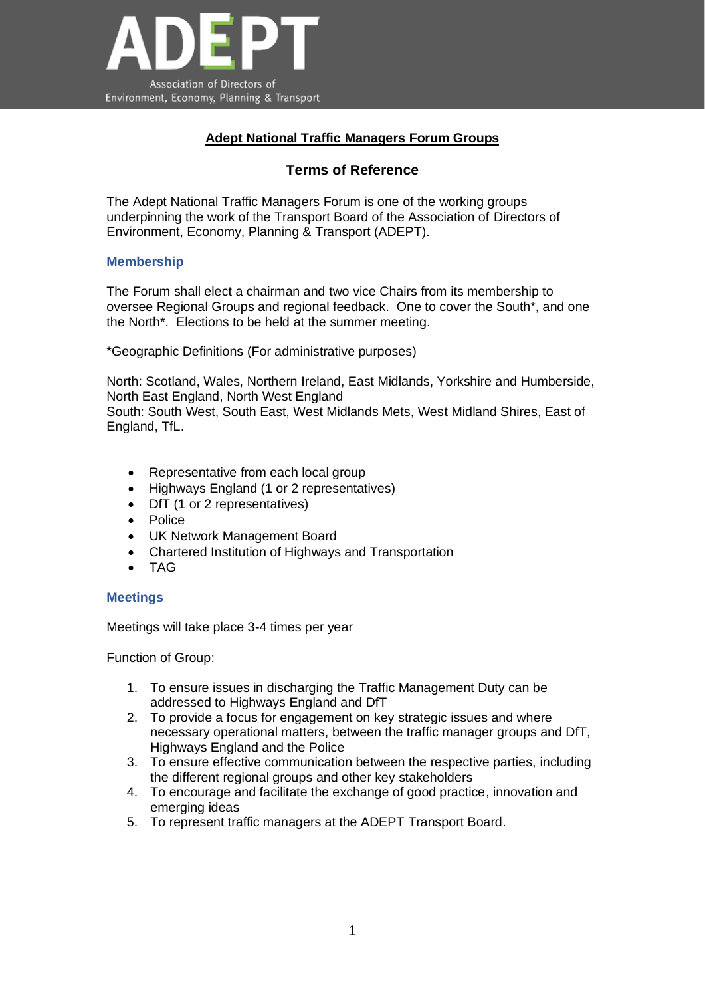

## **Adept National Traffic Managers Forum Groups**

# **Terms of Reference**

The Adept National Traffic Managers Forum is one of the working groups underpinning the work of the Transport Board of the Association of Directors of Environment, Economy, Planning & Transport (ADEPT).

### **Membership**

The Forum shall elect a chairman and two vice Chairs from its membership to oversee Regional Groups and regional feedback. One to cover the South\*, and one the North\*. Elections to be held at the summer meeting.

\*Geographic Definitions (For administrative purposes)

North: Scotland, Wales, Northern Ireland, East Midlands, Yorkshire and Humberside, North East England, North West England South: South West, South East, West Midlands Mets, West Midland Shires, East of England, TfL.

- Representative from each local group
- Highways England (1 or 2 representatives)
- DfT (1 or 2 representatives)
- Police
- UK Network Management Board
- Chartered Institution of Highways and Transportation
- TAG

### **Meetings**

Meetings will take place 3-4 times per year

Function of Group:

- 1. To ensure issues in discharging the Traffic Management Duty can be addressed to Highways England and DfT
- 2. To provide a focus for engagement on key strategic issues and where necessary operational matters, between the traffic manager groups and DfT, Highways England and the Police
- 3. To ensure effective communication between the respective parties, including the different regional groups and other key stakeholders
- 4. To encourage and facilitate the exchange of good practice, innovation and emerging ideas
- 5. To represent traffic managers at the ADEPT Transport Board.